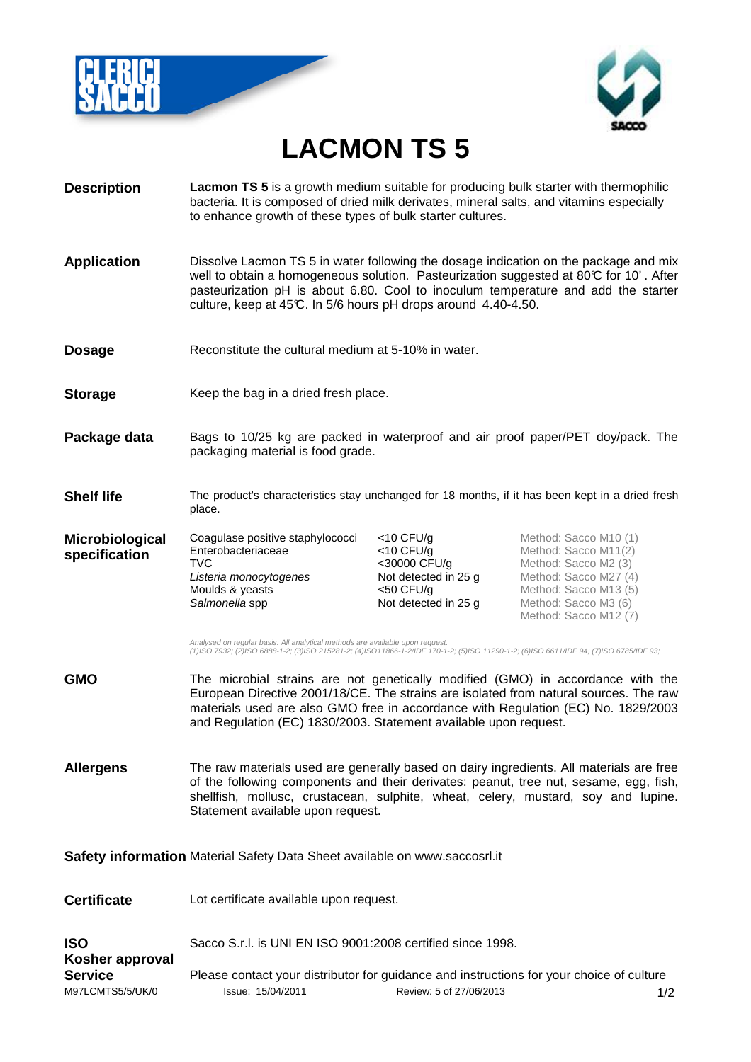



## **LACMON TS 5**

**Description Lacmon TS 5** is a growth medium suitable for producing bulk starter with thermophilic bacteria. It is composed of dried milk derivates, mineral salts, and vitamins especially to enhance growth of these types of bulk starter cultures. **Application** Dissolve Lacmon TS 5 in water following the dosage indication on the package and mix well to obtain a homogeneous solution. Pasteurization suggested at  $80\degree$  for 10'. After pasteurization pH is about 6.80. Cool to inoculum temperature and add the starter culture, keep at 45°C. In 5/6 hours pH drops around 4.40-4.50. **Dosage** Reconstitute the cultural medium at 5-10% in water. **Storage** Keep the bag in a dried fresh place. **Package data** Bags to 10/25 kg are packed in waterproof and air proof paper/PET doy/pack. The packaging material is food grade. **Shelf life** The product's characteristics stay unchanged for 18 months, if it has been kept in a dried fresh place. **Microbiological specification** Coagulase positive staphylococci **Enterobacteriaceae** TVC Listeria monocytogenes Moulds & yeasts Salmonella spp <10 CFU/g <10 CFU/g <30000 CFU/g Not detected in 25 g <50 CFU/g Not detected in 25 g Method: Sacco M10 (1) Method: Sacco M11(2) Method: Sacco M2 (3) Method: Sacco M27 (4) Method: Sacco M13 (5) Method: Sacco M3 (6) Method: Sacco M12 (7) Analysed on regular basis. All analytical methods are available upon request. (1)ISO 7932; (2)ISO 6888-1-2; (3)ISO 215281-2; (4)ISO11866-1-2/IDF 170-1-2; (5)ISO 11290-1-2; (6)ISO 6611/IDF 94; (7)ISO 6785/IDF 93; **GMO** The microbial strains are not genetically modified (GMO) in accordance with the European Directive 2001/18/CE. The strains are isolated from natural sources. The raw materials used are also GMO free in accordance with Regulation (EC) No. 1829/2003 and Regulation (EC) 1830/2003. Statement available upon request. **Allergens** The raw materials used are generally based on dairy ingredients. All materials are free of the following components and their derivates: peanut, tree nut, sesame, egg, fish, shellfish, mollusc, crustacean, sulphite, wheat, celery, mustard, soy and lupine. Statement available upon request. **Safety information** Material Safety Data Sheet available on www.saccosrl.it **Certificate** Lot certificate available upon request. **ISO Kosher approval** Sacco S.r.l. is UNI EN ISO 9001:2008 certified since 1998.

M97LCMTS5/5/UK/0 Issue: 15/04/2011 Review: 5 of 27/06/2013 1/2 **Service** Please contact your distributor for guidance and instructions for your choice of culture